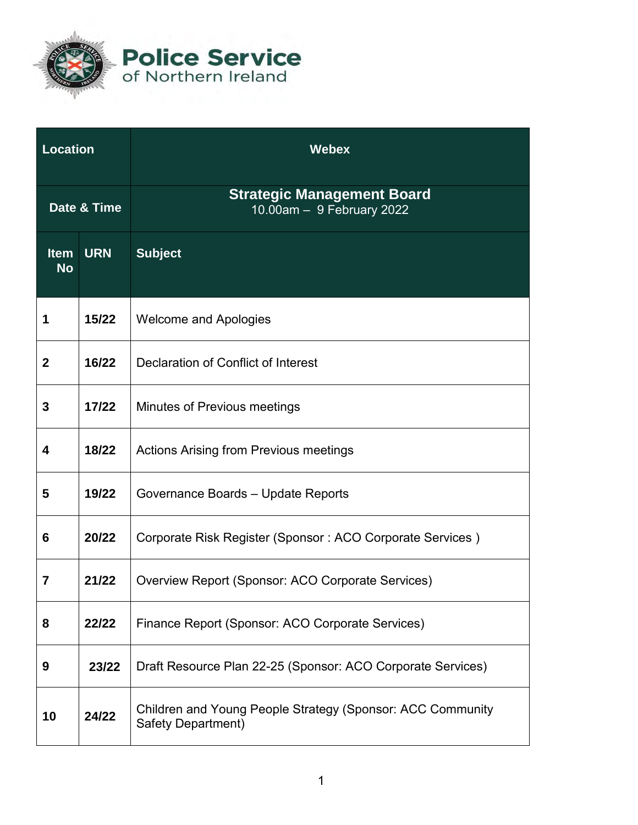

**Police Service**<br>of Northern Ireland

| Location                 |            | <b>Webex</b>                                                                     |
|--------------------------|------------|----------------------------------------------------------------------------------|
| Date & Time              |            | <b>Strategic Management Board</b><br>10.00am - 9 February 2022                   |
| <b>Item</b><br><b>No</b> | <b>URN</b> | <b>Subject</b>                                                                   |
| 1                        | 15/22      | <b>Welcome and Apologies</b>                                                     |
| $\mathbf{2}$             | 16/22      | Declaration of Conflict of Interest                                              |
| 3                        | 17/22      | <b>Minutes of Previous meetings</b>                                              |
| 4                        | 18/22      | <b>Actions Arising from Previous meetings</b>                                    |
| 5                        | 19/22      | Governance Boards - Update Reports                                               |
| 6                        | 20/22      | Corporate Risk Register (Sponsor: ACO Corporate Services)                        |
| 7                        | 21/22      | Overview Report (Sponsor: ACO Corporate Services)                                |
| 8                        | 22/22      | Finance Report (Sponsor: ACO Corporate Services)                                 |
| 9                        | 23/22      | Draft Resource Plan 22-25 (Sponsor: ACO Corporate Services)                      |
| 10                       | 24/22      | Children and Young People Strategy (Sponsor: ACC Community<br>Safety Department) |